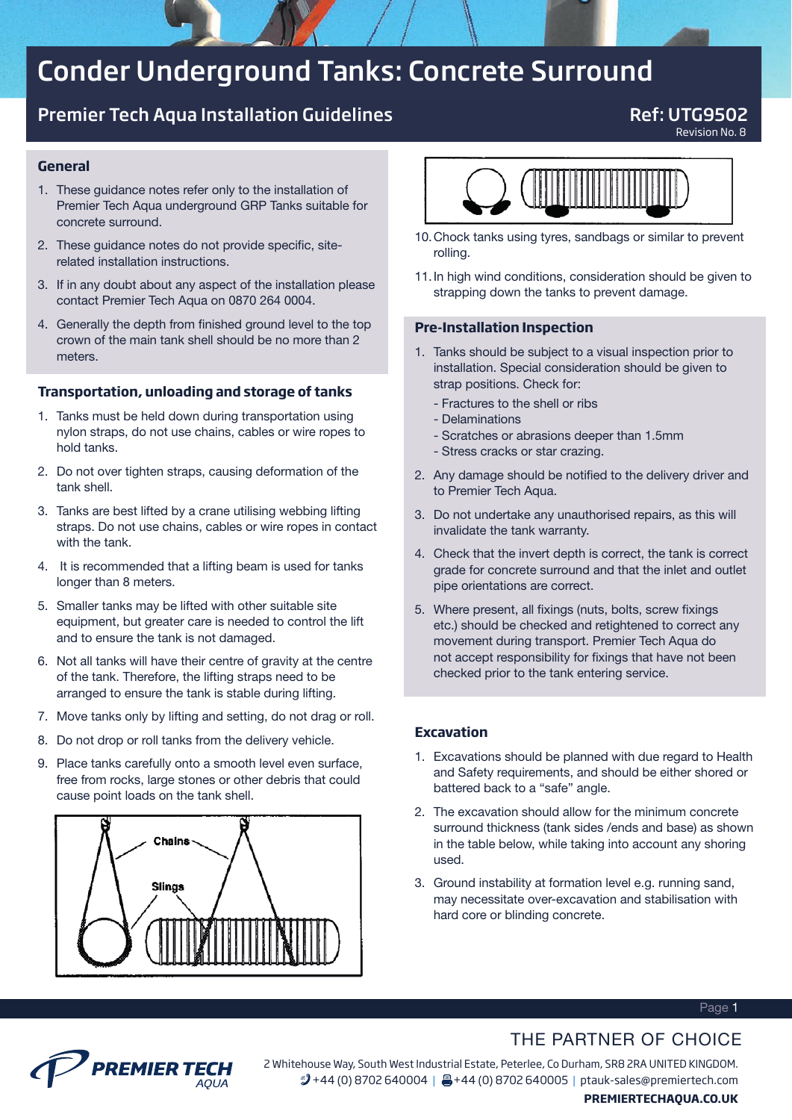# Conder Underground Tanks: Concrete Surround

# Premier Tech Aqua Installation Guidelines **Ref: UTG9502**

Revision No. 8

### **General**

- 1. These guidance notes refer only to the installation of Premier Tech Aqua underground GRP Tanks suitable for concrete surround.
- 2. These guidance notes do not provide specific, siterelated installation instructions.
- 3. If in any doubt about any aspect of the installation please contact Premier Tech Aqua on 0870 264 0004.
- 4. Generally the depth from finished ground level to the top crown of the main tank shell should be no more than 2 meters.

#### **Transportation, unloading and storage of tanks**

- 1. Tanks must be held down during transportation using nylon straps, do not use chains, cables or wire ropes to hold tanks.
- 2. Do not over tighten straps, causing deformation of the tank shell.
- 3. Tanks are best lifted by a crane utilising webbing lifting straps. Do not use chains, cables or wire ropes in contact with the tank.
- 4. It is recommended that a lifting beam is used for tanks longer than 8 meters.
- 5. Smaller tanks may be lifted with other suitable site equipment, but greater care is needed to control the lift and to ensure the tank is not damaged.
- 6. Not all tanks will have their centre of gravity at the centre of the tank. Therefore, the lifting straps need to be arranged to ensure the tank is stable during lifting.
- 7. Move tanks only by lifting and setting, do not drag or roll.
- 8. Do not drop or roll tanks from the delivery vehicle.
- 9. Place tanks carefully onto a smooth level even surface, free from rocks, large stones or other debris that could cause point loads on the tank shell.





- 10. Chock tanks using tyres, sandbags or similar to prevent rolling.
- 11. In high wind conditions, consideration should be given to strapping down the tanks to prevent damage.

#### **Pre-Installation Inspection**

- 1. Tanks should be subject to a visual inspection prior to installation. Special consideration should be given to strap positions. Check for:
	- Fractures to the shell or ribs
	- Delaminations
	- Scratches or abrasions deeper than 1.5mm
	- Stress cracks or star crazing.
- 2. Any damage should be notified to the delivery driver and to Premier Tech Aqua.
- 3. Do not undertake any unauthorised repairs, as this will invalidate the tank warranty.
- 4. Check that the invert depth is correct, the tank is correct grade for concrete surround and that the inlet and outlet pipe orientations are correct.
- 5. Where present, all fixings (nuts, bolts, screw fixings etc.) should be checked and retightened to correct any movement during transport. Premier Tech Aqua do not accept responsibility for fixings that have not been checked prior to the tank entering service.

#### **Excavation**

- 1. Excavations should be planned with due regard to Health and Safety requirements, and should be either shored or battered back to a "safe" angle.
- 2. The excavation should allow for the minimum concrete surround thickness (tank sides /ends and base) as shown in the table below, while taking into account any shoring used.
- 3. Ground instability at formation level e.g. running sand, may necessitate over-excavation and stabilisation with hard core or blinding concrete.

#### Page 1

## THE PARTNER OF CHOICE



2 Whitehouse Way, South West Industrial Estate, Peterlee, Co Durham, SR8 2RA UNITED KINGDOM. 2 +44 (0) 8702 640004 | A +44 (0) 8702 640005 | ptauk-sales@premiertech.com **PREMIERTECHAQUA.CO.UK**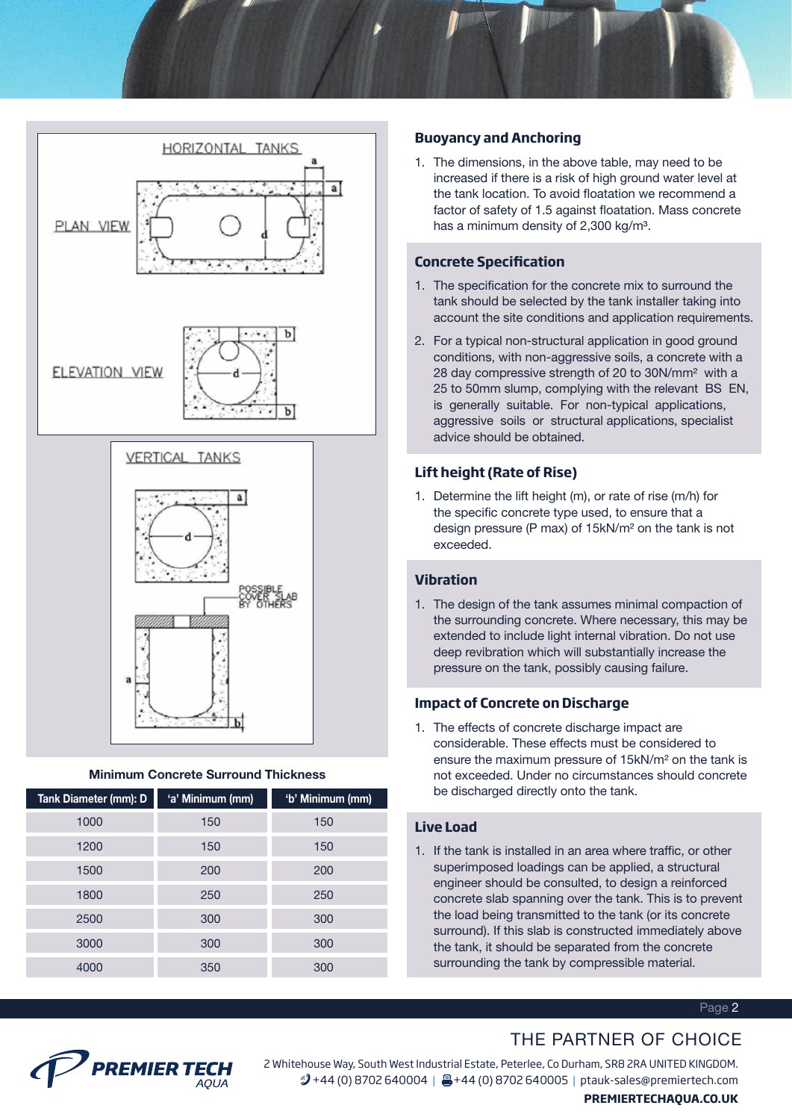





#### Minimum Concrete Surround Thickness

| Tank Diameter (mm): D | 'a' Minimum (mm) | 'b' Minimum (mm) |
|-----------------------|------------------|------------------|
| 1000                  | 150              | 150              |
| 1200                  | 150              | 150              |
| 1500                  | 200              | 200              |
| 1800                  | 250              | 250              |
| 2500                  | 300              | 300              |
| 3000                  | 300              | 300              |
| 4000                  | 350              | 300              |

## **Buoyancy and Anchoring**

1. The dimensions, in the above table, may need to be increased if there is a risk of high ground water level at the tank location. To avoid floatation we recommend a factor of safety of 1.5 against floatation. Mass concrete has a minimum density of 2,300 kg/m3.

#### **Concrete Specification**

- 1. The specification for the concrete mix to surround the tank should be selected by the tank installer taking into account the site conditions and application requirements.
- 2. For a typical non-structural application in good ground conditions, with non-aggressive soils, a concrete with a 28 day compressive strength of 20 to 30N/mm2 with a 25 to 50mm slump, complying with the relevant BS EN, is generally suitable. For non-typical applications, aggressive soils or structural applications, specialist advice should be obtained.

## **Lift height (Rate of Rise)**

1. Determine the lift height (m), or rate of rise (m/h) for the specific concrete type used, to ensure that a design pressure (P max) of 15kN/m2 on the tank is not exceeded.

## **Vibration**

1. The design of the tank assumes minimal compaction of the surrounding concrete. Where necessary, this may be extended to include light internal vibration. Do not use deep revibration which will substantially increase the pressure on the tank, possibly causing failure.

#### **Impact of Concrete on Discharge**

1. The effects of concrete discharge impact are considerable. These effects must be considered to ensure the maximum pressure of 15kN/m2 on the tank is not exceeded. Under no circumstances should concrete be discharged directly onto the tank.

#### **Live Load**

1. If the tank is installed in an area where traffic, or other superimposed loadings can be applied, a structural engineer should be consulted, to design a reinforced concrete slab spanning over the tank. This is to prevent the load being transmitted to the tank (or its concrete surround). If this slab is constructed immediately above the tank, it should be separated from the concrete surrounding the tank by compressible material.

#### Page 2

# THE PARTNER OF CHOICE



2 Whitehouse Way, South West Industrial Estate, Peterlee, Co Durham, SR8 2RA UNITED KINGDOM. 2 +44 (0) 8702 640004 | A +44 (0) 8702 640005 | ptauk-sales@premiertech.com

#### **PREMIERTECHAQUA.CO.UK**